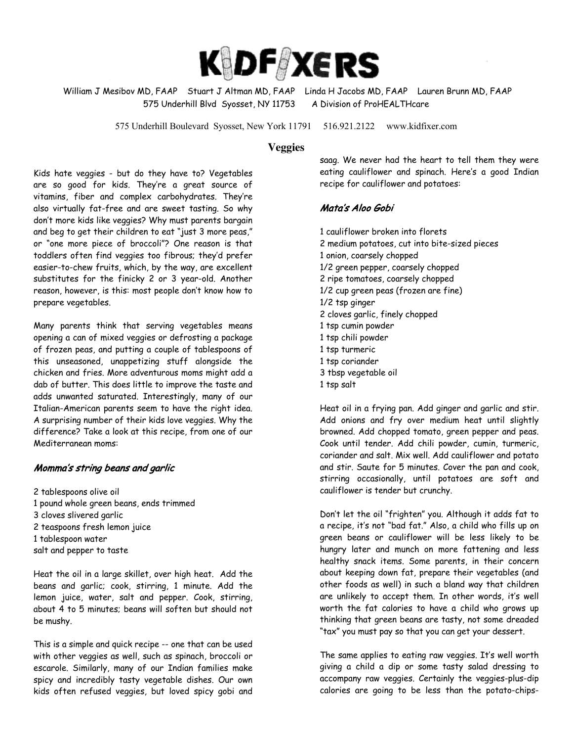

William J Mesibov MD, FAAP Stuart J Altman MD, FAAP Linda H Jacobs MD, FAAP Lauren Brunn MD, FAAP 575 Underhill Blvd Syosset, NY 11753 A Division of ProHEALTHcare

575 Underhill Boulevard Syosset, New York 11791 516.921.2122 www.kidfixer.com

## **Veggies**

Kids hate veggies - but do they have to? Vegetables are so good for kids. They're a great source of vitamins, fiber and complex carbohydrates. They're also virtually fat-free and are sweet tasting. So why don't more kids like veggies? Why must parents bargain and beg to get their children to eat "just 3 more peas," or "one more piece of broccoli"? One reason is that toddlers often find veggies too fibrous; they'd prefer easier-to-chew fruits, which, by the way, are excellent substitutes for the finicky 2 or 3 year-old. Another reason, however, is this: most people don't know how to prepare vegetables.

Many parents think that serving vegetables means opening a can of mixed veggies or defrosting a package of frozen peas, and putting a couple of tablespoons of this unseasoned, unappetizing stuff alongside the chicken and fries. More adventurous moms might add a dab of butter. This does little to improve the taste and adds unwanted saturated. Interestingly, many of our Italian-American parents seem to have the right idea. A surprising number of their kids love veggies. Why the difference? Take a look at this recipe, from one of our Mediterranean moms:

## Momma's string beans and garlic

2 tablespoons olive oil 1 pound whole green beans, ends trimmed 3 cloves slivered garlic 2 teaspoons fresh lemon juice 1 tablespoon water salt and pepper to taste

Heat the oil in a large skillet, over high heat. Add the beans and garlic; cook, stirring, 1 minute. Add the lemon juice, water, salt and pepper. Cook, stirring, about 4 to 5 minutes; beans will soften but should not be mushy.

This is a simple and quick recipe -- one that can be used with other veggies as well, such as spinach, broccoli or escarole. Similarly, many of our Indian families make spicy and incredibly tasty vegetable dishes. Our own kids often refused veggies, but loved spicy gobi and saag. We never had the heart to tell them they were eating cauliflower and spinach. Here's a good Indian recipe for cauliflower and potatoes:

## Mata's Aloo Gobi

1 cauliflower broken into florets 2 medium potatoes, cut into bite-sized pieces 1 onion, coarsely chopped 1/2 green pepper, coarsely chopped 2 ripe tomatoes, coarsely chopped 1/2 cup green peas (frozen are fine) 1/2 tsp ginger 2 cloves garlic, finely chopped 1 tsp cumin powder 1 tsp chili powder 1 tsp turmeric 1 tsp coriander 3 tbsp vegetable oil 1 tsp salt

Heat oil in a frying pan. Add ginger and garlic and stir. Add onions and fry over medium heat until slightly browned. Add chopped tomato, green pepper and peas. Cook until tender. Add chili powder, cumin, turmeric, coriander and salt. Mix well. Add cauliflower and potato and stir. Saute for 5 minutes. Cover the pan and cook, stirring occasionally, until potatoes are soft and cauliflower is tender but crunchy.

Don't let the oil "frighten" you. Although it adds fat to a recipe, it's not "bad fat." Also, a child who fills up on green beans or cauliflower will be less likely to be hungry later and munch on more fattening and less healthy snack items. Some parents, in their concern about keeping down fat, prepare their vegetables (and other foods as well) in such a bland way that children are unlikely to accept them. In other words, it's well worth the fat calories to have a child who grows up thinking that green beans are tasty, not some dreaded "tax" you must pay so that you can get your dessert.

The same applies to eating raw veggies. It's well worth giving a child a dip or some tasty salad dressing to accompany raw veggies. Certainly the veggies-plus-dip calories are going to be less than the potato-chips